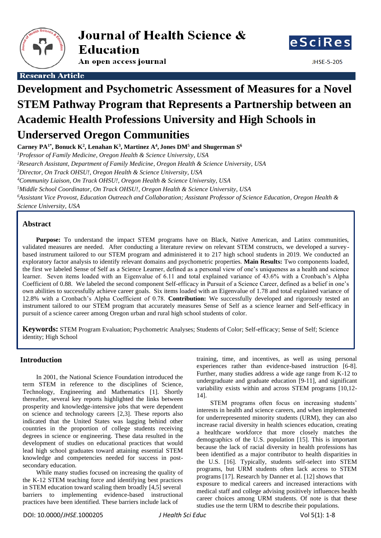

An open access journal



**IHSF-5-205** 

**Research Article** 

# **Development and Psychometric Assessment of Measures for a Novel STEM Pathway Program that Represents a Partnership between an Academic Health Professions University and High Schools in Underserved Oregon Communities**

**Carney PA1\* , Bonuck K<sup>2</sup> , Lenahan K<sup>3</sup> , Martinez A<sup>4</sup> , Jones DM<sup>5</sup> and Shugerman S 6**

*<sup>1</sup>Professor of Family Medicine, Oregon Health & Science University, USA*

*<sup>2</sup>Research Assistant, Department of Family Medicine, Oregon Health & Science University, USA*

*<sup>3</sup>Director, On Track OHSU!, Oregon Health & Science University, USA*

*<sup>4</sup>Community Liaison, On Track OHSU!, Oregon Health & Science University, USA*

*<sup>5</sup>Middle School Coordinator, On Track OHSU!, Oregon Health & Science University, USA*

*<sup>6</sup>Assistant Vice Provost, Education Outreach and Collaboration; Assistant Professor of Science Education, Oregon Health & Science University, USA*

# **Abstract**

**Purpose:** To understand the impact STEM programs have on Black, Native American, and Latinx communities, validated measures are needed. After conducting a literature review on relevant STEM constructs, we developed a surveybased instrument tailored to our STEM program and administered it to 217 high school students in 2019. We conducted an exploratory factor analysis to identify relevant domains and psychometric properties. **Main Results:** Two components loaded, the first we labeled Sense of Self as a Science Learner, defined as a personal view of one's uniqueness as a health and science learner. Seven items loaded with an Eigenvalue of 6.11 and total explained variance of 43.6% with a Cronbach's Alpha Coefficient of 0.88. We labeled the second component Self-efficacy in Pursuit of a Science Career, defined as a belief in one's own abilities to successfully achieve career goals. Six items loaded with an Eigenvalue of 1.78 and total explained variance of 12.8% with a Cronbach's Alpha Coefficient of 0.78. **Contribution:** We successfully developed and rigorously tested an instrument tailored to our STEM program that accurately measures Sense of Self as a science learner and Self-efficacy in pursuit of a science career among Oregon urban and rural high school students of color.

**Keywords:** STEM Program Evaluation; Psychometric Analyses; Students of Color; Self-efficacy; Sense of Self; Science identity; High School

# **Introduction**

In 2001, the National Science Foundation introduced the term STEM in reference to the disciplines of Science, Technology, Engineering and Mathematics [1]. Shortly thereafter, several key reports highlighted the links between prosperity and knowledge-intensive jobs that were dependent on science and technology careers [2,3]. These reports also indicated that the United States was lagging behind other countries in the proportion of college students receiving degrees in science or engineering. These data resulted in the development of studies on educational practices that would lead high school graduates toward attaining essential STEM knowledge and competencies needed for success in postsecondary education.

While many studies focused on increasing the quality of the K-12 STEM teaching force and identifying best practices in STEM education toward scaling them broadly [4,5] several barriers to implementing evidence-based instructional practices have been identified. These barriers include lack of

training, time, and incentives, as well as using personal experiences rather than evidence-based instruction [6-8]. Further, many studies address a wide age range from K-12 to undergraduate and graduate education [9-11], and significant variability exists within and across STEM programs [10,12- 14].

STEM programs often focus on increasing students' interests in health and science careers, and when implemented for underrepresented minority students (URM), they can also increase racial diversity in health sciences education, creating a healthcare workforce that more closely matches the demographics of the U.S. population [15]. This is important because the lack of racial diversity in health professions has been identified as a major contributor to health disparities in the U.S. [16]. Typically, students self-select into STEM programs, but URM students often lack access to STEM programs [17]. Research by Danner et al. [12] shows that exposure to medical careers and increased interactions with medical staff and college advising positively influences health career choices among URM students. Of note is that these studies use the term URM to describe their populations.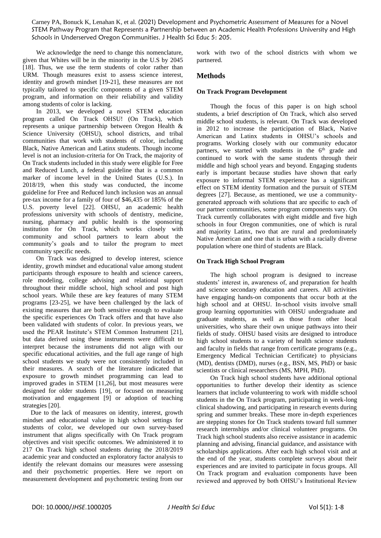We acknowledge the need to change this nomenclature, given that Whites will be in the minority in the U.S by 2045 [18]. Thus, we use the term students of color rather than URM. Though measures exist to assess science interest, identity and growth mindset [19-21], these measures are not typically tailored to specific components of a given STEM program, and information on their reliability and validity among students of color is lacking.

In 2013, we developed a novel STEM education program called On Track OHSU! (On Track), which represents a unique partnership between Oregon Health & Science University (OHSU), school districts, and tribal communities that work with students of color, including Black, Native American and Latinx students. Though income level is not an inclusion-criteria for On Track, the majority of On Track students included in this study were eligible for Free and Reduced Lunch, a federal guideline that is a common marker of income level in the United States (U.S.). In 2018/19, when this study was conducted, the income guideline for Free and Reduced lunch inclusion was an annual pre-tax income for a family of four of \$46,435 or 185% of the U.S. poverty level [22]. OHSU, an academic health professions university with schools of dentistry, medicine, nursing, pharmacy and public health is the sponsoring institution for On Track, which works closely with community and school partners to learn about the community's goals and to tailor the program to meet community specific needs.

On Track was designed to develop interest, science identity, growth mindset and educational value among student participants through exposure to health and science careers, role modeling, college advising and relational support throughout their middle school, high school and post high school years. While these are key features of many STEM programs [23-25], we have been challenged by the lack of existing measures that are both sensitive enough to evaluate the specific experiences On Track offers and that have also been validated with students of color. In previous years, we used the PEAR Institute's STEM Common Instrument [21], but data derived using these instruments were difficult to interpret because the instruments did not align with our specific educational activities, and the full age range of high school students we study were not consistently included in their measures. A search of the literature indicated that exposure to growth mindset programming can lead to improved grades in STEM [11,26], but most measures were designed for older students [19], or focused on measuring motivation and engagement [9] or adoption of teaching strategies [20].

 Due to the lack of measures on identity, interest, growth mindset and educational value in high school settings for students of color, we developed our own survey-based instrument that aligns specifically with On Track program objectives and visit specific outcomes. We administered it to 217 On Track high school students during the 2018/2019 academic year and conducted an exploratory factor analysis to identify the relevant domains our measures were assessing and their psychometric properties. Here we report on measurement development and psychometric testing from our

work with two of the school districts with whom we partnered.

## **Methods**

### **On Track Program Development**

Though the focus of this paper is on high school students, a brief description of On Track, which also served middle school students, is relevant. On Track was developed in 2012 to increase the participation of Black, Native American and Latinx students in OHSU's schools and programs. Working closely with our community educator partners, we started with students in the  $6<sup>th</sup>$  grade and continued to work with the same students through their middle and high school years and beyond. Engaging students early is important because studies have shown that early exposure to informal STEM experience has a significant effect on STEM identity formation and the pursuit of STEM degrees [27]. Because, as mentioned, we use a communitygenerated approach with solutions that are specific to each of our partner communities, some program components vary. On Track currently collaborates with eight middle and five high schools in four Oregon communities, one of which is rural and majority Latinx, two that are rural and predominately Native American and one that is urban with a racially diverse population where one third of students are Black.

#### **On Track High School Program**

The high school program is designed to increase students' interest in, awareness of, and preparation for health and science secondary education and careers. All activities have engaging hands-on components that occur both at the high school and at OHSU. In-school visits involve small group learning opportunities with OHSU undergraduate and graduate students, as well as those from other local universities, who share their own unique pathways into their fields of study. OHSU based visits are designed to introduce high school students to a variety of health science students and faculty in fields that range from certificate programs (e.g., Emergency Medical Technician Certificate) to physicians (MD), dentists (DMD), nurses (e.g., BSN, MS, PhD) or basic scientists or clinical researchers (MS, MPH, PhD).

On Track high school students have additional optional opportunities to further develop their identity as science learners that include volunteering to work with middle school students in the On Track program, participating in week-long clinical shadowing, and participating in research events during spring and summer breaks. These more in-depth experiences are stepping stones for On Track students toward full summer research internships and/or clinical volunteer programs. On Track high school students also receive assistance in academic planning and advising, financial guidance, and assistance with scholarships applications. After each high school visit and at the end of the year, students complete surveys about their experiences and are invited to participate in focus groups. All On Track program and evaluation components have been reviewed and approved by both OHSU's Institutional Review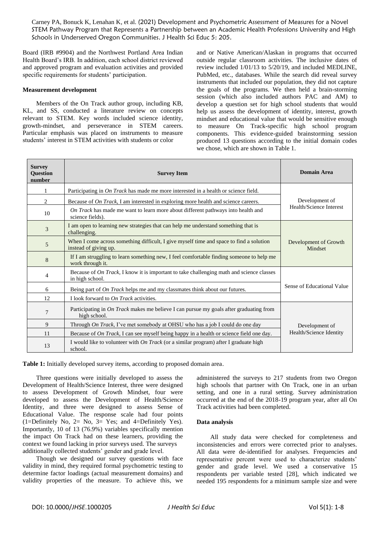Board (IRB #9904) and the Northwest Portland Area Indian Health Board's IRB. In addition, each school district reviewed and approved program and evaluation activities and provided specific requirements for students' participation.

#### **Measurement development**

Members of the On Track author group, including KB, KL, and SS, conducted a literature review on concepts relevant to STEM. Key words included science identity, growth-mindset, and perseverance in STEM careers. Particular emphasis was placed on instruments to measure students' interest in STEM activities with students or color

and or Native American/Alaskan in programs that occurred outside regular classroom activities. The inclusive dates of review included 1/01/13 to 5/20/19, and included MEDLINE, PubMed, etc., databases. While the search did reveal survey instruments that included our population, they did not capture the goals of the programs. We then held a brain-storming session (which also included authors PAC and AM) to develop a question set for high school students that would help us assess the development of identity, interest, growth mindset and educational value that would be sensitive enough to measure On Track-specific high school program components. This evidence-guided brainstorming session produced 13 questions according to the initial domain codes we chose, which are shown in Table 1.

| <b>Survey</b><br><b>Question</b><br>number | <b>Survey Item</b>                                                                                                  | <b>Domain Area</b>               |
|--------------------------------------------|---------------------------------------------------------------------------------------------------------------------|----------------------------------|
| 1                                          | Participating in On Track has made me more interested in a health or science field.                                 |                                  |
| 2                                          | Because of On Track, I am interested in exploring more health and science careers.                                  | Development of                   |
| 10                                         | On Track has made me want to learn more about different pathways into health and<br>science fields).                | Health/Science Interest          |
| 3                                          | I am open to learning new strategies that can help me understand something that is<br>challenging.                  |                                  |
| 5                                          | When I come across something difficult, I give myself time and space to find a solution<br>instead of giving up.    | Development of Growth<br>Mindset |
| 8                                          | If I am struggling to learn something new, I feel comfortable finding someone to help me<br>work through it.        |                                  |
| 4                                          | Because of <i>On Track</i> , I know it is important to take challenging math and science classes<br>in high school. |                                  |
| 6                                          | Being part of On Track helps me and my classmates think about our futures.                                          | Sense of Educational Value       |
| 12                                         | I look forward to On Track activities.                                                                              |                                  |
| 7                                          | Participating in <i>On Track</i> makes me believe I can pursue my goals after graduating from<br>high school.       |                                  |
| 9                                          | Through On Track, I've met somebody at OHSU who has a job I could do one day                                        | Development of                   |
| 11                                         | Because of On Track, I can see myself being happy in a health or science field one day.                             | Health/Science Identity          |
| 13                                         | I would like to volunteer with <i>On Track</i> (or a similar program) after I graduate high<br>school.              |                                  |

**Table 1:** Initially developed survey items, according to proposed domain area.

Three questions were initially developed to assess the Development of Health/Science Interest, three were designed to assess Development of Growth Mindset, four were developed to assess the Development of Health/Science Identity, and three were designed to assess Sense of Educational Value. The response scale had four points (1=Definitely No, 2= No, 3= Yes; and 4=Definitely Yes). Importantly, 10 of 13 (76.9%) variables specifically mention the impact On Track had on these learners, providing the context we found lacking in prior surveys used. The surveys additionally collected students' gender and grade level.

Though we designed our survey questions with face validity in mind, they required formal psychometric testing to determine factor loadings (actual measurement domains) and validity properties of the measure. To achieve this, we administered the surveys to 217 students from two Oregon high schools that partner with On Track, one in an urban setting, and one in a rural setting. Survey administration occurred at the end of the 2018-19 program year, after all On Track activities had been completed.

#### **Data analysis**

All study data were checked for completeness and inconsistencies and errors were corrected prior to analyses. All data were de-identified for analyses. Frequencies and representative percent were used to characterize students' gender and grade level. We used a conservative 15 respondents per variable tested [28], which indicated we needed 195 respondents for a minimum sample size and were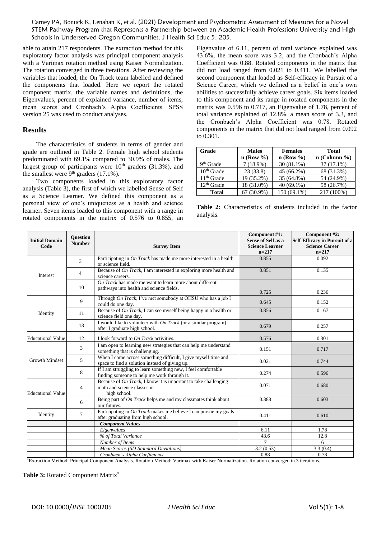able to attain 217 respondents. The extraction method for this exploratory factor analysis was principal component analysis with a Varimax rotation method using Kaiser Normalization. The rotation converged in three iterations. After reviewing the variables that loaded, the On Track team labelled and defined the components that loaded. Here we report the rotated component matrix, the variable names and definitions, the Eigenvalues, percent of explained variance, number of items, mean scores and Cronbach's Alpha Coefficients. SPSS version 25 was used to conduct analyses.

## **Results**

The characteristics of students in terms of gender and grade are outlined in Table 2. Female high school students predominated with 69.1% compared to 30.9% of males. The largest group of participants were  $10<sup>th</sup>$  graders (31.3%), and the smallest were  $9<sup>th</sup>$  graders (17.1%).

Two components loaded in this exploratory factor analysis (Table 3), the first of which we labelled Sense of Self as a Science Learner. We defined this component as a personal view of one's uniqueness as a health and science learner. Seven items loaded to this component with a range in rotated components in the matrix of 0.576 to 0.855, an Eigenvalue of 6.11, percent of total variance explained was 43.6%, the mean score was 3.2, and the Cronbach's Alpha Coefficient was 0.88. Rotated components in the matrix that did not load ranged from 0.021 to 0.411. We labelled the second component that loaded as Self-efficacy in Pursuit of a Science Career, which we defined as a belief in one's own abilities to successfully achieve career goals. Six items loaded to this component and its range in rotated components in the matrix was 0.596 to 0.717, an Eigenvalue of 1.78, percent of total variance explained of 12.8%, a mean score of 3.3, and the Cronbach's Alpha Coefficient was 0.78. Rotated components in the matrix that did not load ranged from 0.092 to 0.301.

| Grade                 | <b>Males</b> | <b>Females</b> | <b>Total</b>   |
|-----------------------|--------------|----------------|----------------|
|                       | $n$ (Row %)  | $n$ (Row %)    | $n$ (Column %) |
| 9 <sup>th</sup> Grade | $7(18.9\%)$  | $30(81.1\%)$   | $37(17.1\%)$   |
| $10th$ Grade          | 23(33.8)     | 45 (66.2%)     | 68 (31.3%)     |
| $11th$ Grade          | 19 (35.2%)   | 35 (64.8%)     | 54 (24.9%)     |
| $12th$ Grade          | 18 (31.0%)   | $40(69.1\%)$   | 58 (26.7%)     |
| Total                 | 67 (30.9%)   | 150 (69.1%)    | 217 (100%)     |

**Table 2:** Characteristics of students included in the factor analysis.

| <b>Initial Domain</b><br>Code | <b>Ouestion</b><br><b>Number</b> | <b>Survey Item</b>                                                                                               | Component #1:<br><b>Sense of Self as a</b><br><b>Science Learner</b><br>$n=217$ | Component #2:<br>Self-Efficacy in Pursuit of a<br><b>Science Career</b><br>$n=217$ |
|-------------------------------|----------------------------------|------------------------------------------------------------------------------------------------------------------|---------------------------------------------------------------------------------|------------------------------------------------------------------------------------|
| Interest                      | 3                                | Participating in <i>On Track</i> has made me more interested in a health<br>or science field.                    | 0.855                                                                           | 0.092                                                                              |
|                               | 4                                | Because of On Track, I am interested in exploring more health and<br>science careers.                            | 0.851                                                                           | 0.135                                                                              |
|                               | 10                               | On Track has made me want to learn more about different<br>pathways into health and science fields.              | 0.725                                                                           | 0.236                                                                              |
| Identity                      | 9                                | Through On Track, I've met somebody at OHSU who has a job I<br>could do one day.                                 | 0.645                                                                           | 0.152                                                                              |
|                               | 11                               | Because of On Track, I can see myself being happy in a health or<br>science field one day.                       | 0.856                                                                           | 0.167                                                                              |
|                               | 13                               | I would like to volunteer with $On$ Track (or a similar program)<br>after I graduate high school.                | 0.679                                                                           | 0.257                                                                              |
| <b>Educational Value</b>      | 12                               | I look forward to <i>On Track</i> activities.                                                                    | 0.576                                                                           | 0.301                                                                              |
| <b>Growth Mindset</b>         | 3                                | I am open to learning new strategies that can help me understand<br>something that is challenging.               | 0.151                                                                           | 0.717                                                                              |
|                               | 5                                | When I come across something difficult, I give myself time and<br>space to find a solution instead of giving up. | 0.021                                                                           | 0.744                                                                              |
|                               | 8                                | If I am struggling to learn something new, I feel comfortable<br>finding someone to help me work through it.     | 0.274                                                                           | 0.596                                                                              |
| <b>Educational Value</b>      | 4                                | Because of On Track, I know it is important to take challenging<br>math and science classes in<br>high school.   | 0.071                                                                           | 0.680                                                                              |
|                               | 6                                | Being part of <i>On Track</i> helps me and my classmates think about<br>our futures.                             | 0.388                                                                           | 0.603                                                                              |
| Identity                      | 7                                | Participating in <i>On Track</i> makes me believe I can pursue my goals<br>after graduating from high school.    | 0.411                                                                           | 0.610                                                                              |
|                               |                                  | <b>Component Values</b>                                                                                          |                                                                                 |                                                                                    |
|                               |                                  | Eigenvalues                                                                                                      | 6.11                                                                            | 1.78                                                                               |
|                               |                                  | % of Total Variance                                                                                              | 43.6                                                                            | 12.8                                                                               |
|                               |                                  | Number of Items                                                                                                  | $\tau$                                                                          | 6                                                                                  |
|                               |                                  | Mean Scores (SD-Standard Deviations)                                                                             | 3.2(0.53)                                                                       | 3.3(0.4)                                                                           |
|                               |                                  | Cronbach's Alpha Coefficients                                                                                    | 0.88                                                                            | 0.78                                                                               |

\*Extraction Method: Principal Component Analysis. Rotation Method: Varimax with Kaiser Normalization. Rotation converged in 3 iterations.

#### **Table 3:** Rotated Component Matrix\*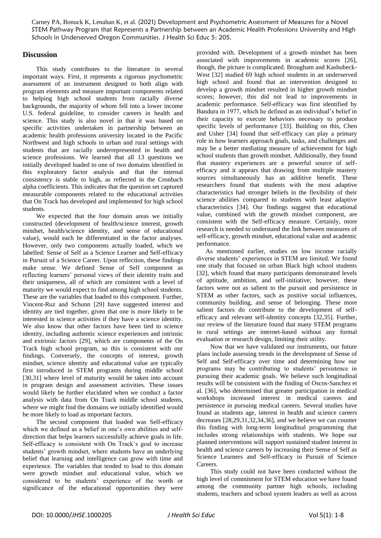# **Discussion**

This study contributes to the literature in several important ways. First, it represents a rigorous psychometric assessment of an instrument designed to both align with program elements and measure important components related to helping high school students from racially diverse backgrounds, the majority of whom fell into a lower income U.S. federal guideline, to consider careers in health and science. This study is also novel in that it was based on specific activities undertaken in partnership between an academic health professions university located in the Pacific Northwest and high schools in urban and rural settings with students that are racially underrepresented in health and science professions. We learned that all 13 questions we initially developed loaded to one of two domains identified in this exploratory factor analysis and that the internal consistency is stable to high, as reflected in the Cronbach alpha coefficients. This indicates that the question set captured measurable components related to the educational activities that On Track has developed and implemented for high school students.

We expected that the four domain areas we initially constructed (development of health/science interest, growth mindset, health/science identity, and sense of educational value), would each be differentiated in the factor analyses. However, only two components actually loaded, which we labelled: Sense of Self as a Science Learner and Self-efficacy in Pursuit of a Science Career. Upon reflection, these findings make sense. We defined Sense of Self component as reflecting learners' personal views of their identity traits and their uniqueness, all of which are consistent with a level of maturity we would expect to find among high school students. These are the variables that loaded to this component. Further, Vincent-Ruz and Schunn [29] have suggested interest and identity are tied together, given that one is more likely to be interested in science activities if they have a science identity. We also know that other factors have been tied to science identity, including authentic science experiences and intrinsic and extrinsic factors [29], which are components of the On Track high school program, so this is consistent with our findings. Conversely, the concepts of interest, growth mindset, science identity and educational value are typically first introduced in STEM programs during middle school [30,31] where level of maturity would be taken into account in program design and assessment activities. These issues would likely be further elucidated when we conduct a factor analysis with data from On Track middle school students, where we might find the domains we initially identified would be more likely to load as important factors.

The second component that loaded was Self-efficacy which we defined as a belief in one's own abilities and selfdirection that helps learners successfully achieve goals in life. Self-efficacy is consistent with On Track's goal to increase students' growth mindset, where students have an underlying belief that learning and intelligence can grow with time and experience. The variables that tended to load to this domain were growth mindset and educational value, which we considered to be students' experience of the worth or significance of the educational opportunities they were

provided with. Development of a growth mindset has been associated with improvements in academic scores [26], though, the picture is complicated. Brougham and Kashubeck-West [32] studied 69 high school students in an underserved high school and found that an intervention designed to develop a growth mindset resulted in higher growth mindset scores; however, this did not lead to improvements in academic performance. Self-efficacy was first identified by Bandura in 1977, which he defined as an individual's belief in their capacity to execute behaviors necessary to produce specific levels of performance [33]. Building on this, Chen and Usher [34] found that self-efficacy can play a primary role in how learners approach goals, tasks, and challenges and may be a better mediating measure of achievement for high school students than growth mindset. Additionally, they found that mastery experiences are a powerful source of selfefficacy and it appears that drawing from multiple mastery sources simultaneously has an additive benefit. These researchers found that students with the most adaptive characteristics had stronger beliefs in the flexibility of their science abilities compared to students with least adaptive characteristics [34]. Our findings suggest that educational value, combined with the growth mindset component, are consistent with the Self-efficacy measure. Certainly, more research is needed to understand the link between measures of self-efficacy, growth mindset, educational value and academic performance.

As mentioned earlier, studies on low income racially diverse students' experiences in STEM are limited. We found one study that focused on urban Black high school students [32], which found that many participants demonstrated levels of aptitude, ambition, and self-initiative; however, these factors were not as salient to the pursuit and persistence in STEM as other factors, such as positive social influences, community building, and sense of belonging. These more salient factors do contribute to the development of selfefficacy and relevant self-identity concepts [32,35]. Further, our review of the literature found that many STEM programs in rural settings are internet-based without any formal evaluation or research design, limiting their utility.

Now that we have validated our instruments, our future plans include assessing trends in the development of Sense of Self and Self-efficacy over time and determining how our programs may be contributing to students' persistence in pursuing their academic goals. We believe such longitudinal results will be consistent with the finding of Oscos-Sanchez et al. [36], who determined that greater participation in medical workshops increased interest in medical careers and persistence in pursuing medical careers. Several studies have found as students age, interest in health and science careers decreases [28,29,31,32,34,36], and we believe we can counter this finding with long-term longitudinal programming that includes strong relationships with students. We hope our planned interventions will support sustained student interest in health and science careers by increasing their Sense of Self as Science Learners and Self-efficacy in Pursuit of Science Careers.

This study could not have been conducted without the high level of commitment for STEM education we have found among the community partner high schools, including students, teachers and school system leaders as well as across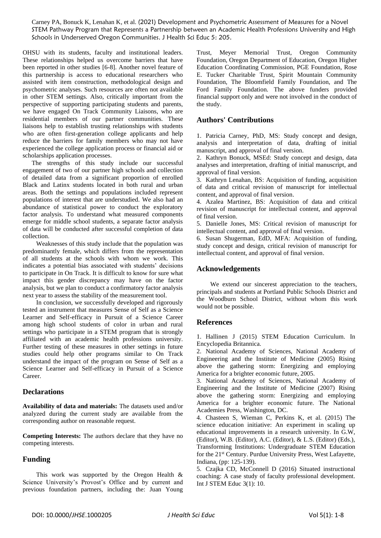OHSU with its students, faculty and institutional leaders. These relationships helped us overcome barriers that have been reported in other studies [6-8]. Another novel feature of this partnership is access to educational researchers who assisted with item construction, methodological design and psychometric analyses. Such resources are often not available in other STEM settings. Also, critically important from the perspective of supporting participating students and parents, we have engaged On Track Community Liaisons, who are residential members of our partner communities. These liaisons help to establish trusting relationships with students who are often first-generation college applicants and help reduce the barriers for family members who may not have experienced the college application process or financial aid or scholarships application processes.

The strengths of this study include our successful engagement of two of our partner high schools and collection of detailed data from a significant proportion of enrolled Black and Latinx students located in both rural and urban areas. Both the settings and populations included represent populations of interest that are understudied. We also had an abundance of statistical power to conduct the exploratory factor analysis. To understand what measured components emerge for middle school students, a separate factor analysis of data will be conducted after successful completion of data collection.

Weaknesses of this study include that the population was predominantly female, which differs from the representation of all students at the schools with whom we work. This indicates a potential bias associated with students' decisions to participate in On Track. It is difficult to know for sure what impact this gender discrepancy may have on the factor analysis, but we plan to conduct a confirmatory factor analysis next year to assess the stability of the measurement tool.

In conclusion, we successfully developed and rigorously tested an instrument that measures Sense of Self as a Science Learner and Self-efficacy in Pursuit of a Science Career among high school students of color in urban and rural settings who participate in a STEM program that is strongly affiliated with an academic health professions university. Further testing of these measures in other settings in future studies could help other programs similar to On Track understand the impact of the program on Sense of Self as a Science Learner and Self-efficacy in Pursuit of a Science  $C<sub>area</sub>$ 

## **Declarations**

**Availability of data and materials:** The datasets used and/or analyzed during the current study are available from the corresponding author on reasonable request.

**Competing Interests:** The authors declare that they have no competing interests.

# **Funding**

This work was supported by the Oregon Health & Science University's Provost's Office and by current and previous foundation partners, including the: Juan Young

Trust, Meyer Memorial Trust, Oregon Community Foundation, Oregon Department of Education, Oregon Higher Education Coordinating Commission, PGE Foundation, Rose E. Tucker Charitable Trust, Spirit Mountain Community Foundation, The Bloomfield Family Foundation, and The Ford Family Foundation. The above funders provided financial support only and were not involved in the conduct of the study.

# **Authors' Contributions**

1. Patricia Carney, PhD, MS: Study concept and design, analysis and interpretation of data, drafting of initial manuscript, and approval of final version.

2. Kathryn Bonuck, MSEd: Study concept and design, data analyses and interpretation, drafting of initial manuscript, and approval of final version.

3. Kathryn Lenahan, BS: Acquisition of funding, acquisition of data and critical revision of manuscript for intellectual content, and approval of final version.

4. Azalea Martinez, BS: Acquisition of data and critical revision of manuscript for intellectual content, and approval of final version.

5. Danielle Jones, MS: Critical revision of manuscript for intellectual content, and approval of final version.

6. Susan Shugerman, EdD, MFA: Acquisition of funding, study concept and design, critical revision of manuscript for intellectual content, and approval of final version.

# **Acknowledgements**

We extend our sincerest appreciation to the teachers, principals and students at Portland Public Schools District and the Woodburn School District, without whom this work would not be possible.

# **References**

1. Hallinen J (2015) [STEM Education Curriculum. In](https://www.britannica.com/topic/STEM-education)  [Encyclopedia Britannica.](https://www.britannica.com/topic/STEM-education)

2. [National Academy of Sciences, National Academy of](https://www.nsf.gov/attachments/105652/public/NAS-Gathering-Storm-11463.pdf)  Engineering [and the Institute of Medicine \(2005\)](https://www.nsf.gov/attachments/105652/public/NAS-Gathering-Storm-11463.pdf) Rising [above the gathering storm: Energizing and employing](https://www.nsf.gov/attachments/105652/public/NAS-Gathering-Storm-11463.pdf)  [America for a brighter economic future, 2005.](https://www.nsf.gov/attachments/105652/public/NAS-Gathering-Storm-11463.pdf) 

3. [National Academy of Sciences, National Academy of](https://doi.org/10.17226/11463)  [Engineering and the Institute of Medicine \(2007\) Rising](https://doi.org/10.17226/11463)  [above the gathering storm: Energizing and employing](https://doi.org/10.17226/11463)  [America for a brighter economic future. The National](https://doi.org/10.17226/11463)  [Academies Press, Washington, DC.](https://doi.org/10.17226/11463)

4. Chasteen S, Wieman C, Perkins K, et al. (2015) The science education initiative: An experiment in scaling up educational improvements in a research university. In G.W, (Editor), W.B. (Editor), A.C. (Editor), & L.S. (Editor) (Eds.), Transforming Institutions: Undergraduate STEM Education for the 21<sup>st</sup> Century. Purdue University Press, West Lafayette, Indiana, (pp: 125-139).

5. Czajka CD, McConnell D [\(2016\) Situated instructional](https://doi.org/10.1186/s40594-016-0044-1)  [coaching: A case study of faculty professional development.](https://doi.org/10.1186/s40594-016-0044-1)  [Int J STEM Educ 3\(1\): 10.](https://doi.org/10.1186/s40594-016-0044-1)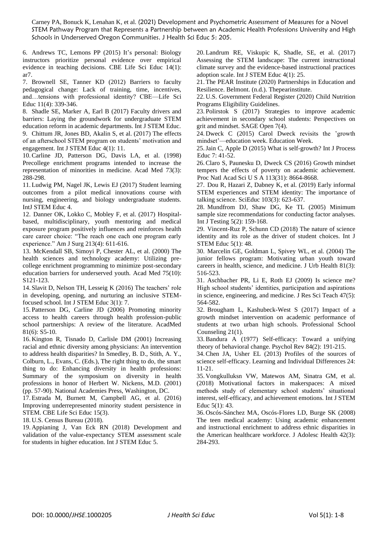6. [Andrews TC, Lemons PP](https://doi.org/10.1187/cbe.14-05-0084) (2015) It's personal: Biology [instructors prioritize personal evidence over empirical](https://doi.org/10.1187/cbe.14-05-0084)  [evidence in teaching decisions. CBE Life Sci](https://doi.org/10.1187/cbe.14-05-0084) Educ 14(1): [ar7.](https://doi.org/10.1187/cbe.14-05-0084)

7. [Brownell SE, Tanner KD](https://doi.org/10.1187/cbe.12-09-0163) (2012) Barriers to faculty [pedagogical change: Lack of training, time, incentives,](https://doi.org/10.1187/cbe.12-09-0163)  [and…tensions with professional identity? CBE—Life Sci](https://doi.org/10.1187/cbe.12-09-0163)  [Educ 11\(4\): 339-346.](https://doi.org/10.1187/cbe.12-09-0163)

8. [Shadle SE, Marker A, Earl B](https://doi.org/10.1186/s40594-017-0062-7) (2017) Faculty drivers and [barriers: Laying the groundwork for undergraduate STEM](https://doi.org/10.1186/s40594-017-0062-7)  [education reform in academic departments. Int J STEM Educ.](https://doi.org/10.1186/s40594-017-0062-7)

9. [Chittum JR, Jones BD, Akalin S, et al. \(2017\) The](https://doi.org/10.1186/s40594-017-0065-4) effects [of an afterschool STEM program on students' motivation and](https://doi.org/10.1186/s40594-017-0065-4)  [engagement. Int J STEM Educ 4\(1\):](https://doi.org/10.1186/s40594-017-0065-4) 11.

10[.Carline JD, Patterson DG, Davis LA, et al. \(1998\)](https://doi.org/10.1097/00001888-199803000-00018) [Precollege enrichment programs intended to increase the](https://doi.org/10.1097/00001888-199803000-00018)  [representation of minorities in medicine. Acad Med](https://doi.org/10.1097/00001888-199803000-00018) 73(3): [288-298.](https://doi.org/10.1097/00001888-199803000-00018)

11. Ludwig PM, Nagel JK, Lewis EJ [\(2017\) Student learning](https://doi.org/10.1186/s40594-017-0095-y)  [outcomes from a pilot medical innovations course with](https://doi.org/10.1186/s40594-017-0095-y)  [nursing, engineering, and biology undergraduate students.](https://doi.org/10.1186/s40594-017-0095-y)  [IntJ STEM Educ 4.](https://doi.org/10.1186/s40594-017-0095-y)

12. Danner OK, [Lokko C, Mobley F, et al. \(2017\) Hospital](https://doi.org/10.1016/j.amjsurg.2016.12.002)[based, multidisciplinary, youth mentoring and medical](https://doi.org/10.1016/j.amjsurg.2016.12.002)  [exposure program positively influences and reinforces health](https://doi.org/10.1016/j.amjsurg.2016.12.002)  [care career choice: "The reach one each one program early](https://doi.org/10.1016/j.amjsurg.2016.12.002)  [experience." Am J Surg 213\(4\): 611-616.](https://doi.org/10.1016/j.amjsurg.2016.12.002)

13. [McKendall SB, Simoyi](https://doi.org/10.1097/00001888-200010001-00039) P, Chester AL, et al. (2000) The [health sciences and technology academy: Utilizing pre](https://doi.org/10.1097/00001888-200010001-00039)[college enrichment programming to minimize post-secondary](https://doi.org/10.1097/00001888-200010001-00039)  [education barriers for underserved youth. Acad Med 75\(10\):](https://doi.org/10.1097/00001888-200010001-00039)  [S121-123.](https://doi.org/10.1097/00001888-200010001-00039)

14. [Slavit D, Nelson TH, Lesseig](https://doi.org/10.1186/s40594-016-0040-5) K (2016) The teachers' role [in developing, opening, and nurturing an inclusive STEM](https://doi.org/10.1186/s40594-016-0040-5)focused school. Int [J STEM Educ 3\(1\): 7.](https://doi.org/10.1186/s40594-016-0040-5)

15. Patterson DG, Carline [JD \(2006\) Promoting minority](https://doi.org/10.1097/01.ACM.0000225247.84379.9c)  [access to health careers through health profession-public](https://doi.org/10.1097/01.ACM.0000225247.84379.9c)  [school partnerships: A review of the literature. AcadMed](https://doi.org/10.1097/01.ACM.0000225247.84379.9c) 81(6): [S5-10.](https://doi.org/10.1097/01.ACM.0000225247.84379.9c)

16. Kington R, Tisnado D, Carlisle DM (2001) Increasing racial and ethnic diversity among physicians: An intervention to address health disparities? In Smedley, B. D., Stith, A. Y., Colburn, L., Evans, C. (Eds.), The right thing to do, the smart thing to do: Enhancing diversity in health professions: Summary of the symposium on diversity in health professions in honor of Herbert W. Nickens, M.D. (2001) (pp. 57-90). National Academies Press, Washington, DC.

17. [Estrada M, Burnett M, Campbell AG, et al. \(2016\)](https://doi.org/10.1187/cbe.16-01-0038) [Improving underrepresented minority student persistence in](https://doi.org/10.1187/cbe.16-01-0038)  [STEM. CBE Life Sci Educ 15\(3\).](https://doi.org/10.1187/cbe.16-01-0038)

18. [U.S. Census Bureau \(2018\).](https://www.census.gov/newsroom/press-releases/2018/cb18-41-population-projections.html)

19. [Appianing J, Van Eck RN \(2018\) Development and](https://doi.org/10.1186/s40594-018-0121-8)  [validation of the value-expectancy STEM assessment scale](https://doi.org/10.1186/s40594-018-0121-8)  [for students in higher education. Int J STEM Educ](https://doi.org/10.1186/s40594-018-0121-8) 5.

20. [Landrum RE, Viskupic K, Shadle, SE, et al. \(2017\)](https://doi.org/10.1186/s40594-017-0092-1)  [Assessing the STEM landscape: The current instructional](https://doi.org/10.1186/s40594-017-0092-1)  [climate survey and the evidence-based instructional practices](https://doi.org/10.1186/s40594-017-0092-1)  adoption scale. Int J [STEM Educ 4\(1\): 25.](https://doi.org/10.1186/s40594-017-0092-1)

21. [The PEAR Institute \(2020\) Partnerships in Education and](https://www.thepearinstitute.org/)  Resilience. [Belmont. \(n.d.\). Thepearinstitute.](https://www.thepearinstitute.org/)

22. [U.S. Government Federal Register \(2020\)](https://www.federalregister.gov/documents/2018/05/08/2018-09679/child-nutrition-programs-income-eligibility-guidelines) Child Nutrition [Programs Eligibility Guidelines.](https://www.federalregister.gov/documents/2018/05/08/2018-09679/child-nutrition-programs-income-eligibility-guidelines)

23. Polirstok S (2017) [Strategies to improve academic](https://doi.org/10.1177/2158244017745111)  [achievement in secondary school students: Perspectives on](https://doi.org/10.1177/2158244017745111)  [grit and mindset. SAGE Open 7\(4\).](https://doi.org/10.1177/2158244017745111)

24. Dweck C (2015) [Carol Dweck revisits the 'growth](https://www.edweek.org/ew/articles/2015/09/23/carol-dweck-revisits-the-growth-mindset.html)  [mindset'—education week. Education Week.](https://www.edweek.org/ew/articles/2015/09/23/carol-dweck-revisits-the-growth-mindset.html)

25.Jain C, Apple D (2015) What is self-growth? Int J Process Educ 7: 41-52.

26.Claro S, Paunesku D, [Dweck CS \(2016\) Growth mindset](https://doi.org/10.1073/pnas.1608207113)  [tempers the effects of poverty on academic achievement.](https://doi.org/10.1073/pnas.1608207113)  [Proc Natl Acad Sci U S A 113\(31\):](https://doi.org/10.1073/pnas.1608207113) 8664-8668.

27. [Dou R, Hazari](https://doi.org/10.1002/sce.21499) Z, Dabney K, et al. (2019) Early informal [STEM experiences and STEM identity: The importance of](https://doi.org/10.1002/sce.21499)  [talking science. SciEduc 103\(3\): 623-637.](https://doi.org/10.1002/sce.21499)

28. [Mundfrom DJ, Shaw DG, Ke TL](https://doi.org/10.1207/s15327574ijt0502_4) (2005) Minimum [sample size recommendations for conducting factor analyses.](https://doi.org/10.1207/s15327574ijt0502_4)  Int [J Testing 5\(2\): 159-168.](https://doi.org/10.1207/s15327574ijt0502_4)

29. Vincent-Ruz P, Schunn CD (2018) [The nature of science](https://doi.org/10.1186/s40594-018-0140-5)  [identity and its role as the driver of student choices. Int J](https://doi.org/10.1186/s40594-018-0140-5) [STEM Educ 5\(1\): 48.](https://doi.org/10.1186/s40594-018-0140-5)

30. [Marcelin GE, Goldman](https://doi.org/10.1093/jurban/jth135) L, Spivey WL, et al. (2004) The [junior fellows program: Motivating urban youth toward](https://doi.org/10.1093/jurban/jth135)  [careers in health, science, and medicine. J](https://doi.org/10.1093/jurban/jth135) Urb Health 81(3): [516-523.](https://doi.org/10.1093/jurban/jth135)

31. [Aschbacher PR, Li](https://doi.org/10.1002/tea.20353) E, Roth EJ (2009) Is science me? [High school students' identities, participation and aspirations](https://doi.org/10.1002/tea.20353)  [in science, engineering, and medicine. J](https://doi.org/10.1002/tea.20353) Res Sci Teach 47(5): [564-582.](https://doi.org/10.1002/tea.20353)

32. [Brougham L, Kashubeck-West S \(2017\)](https://doi.org/10.1177%2F2156759X18764934) Impact of a [growth mindset intervention on academic performance of](https://doi.org/10.1177%2F2156759X18764934)  [students at two urban high schools. Professional School](https://doi.org/10.1177%2F2156759X18764934)  [Counseling 21\(1\).](https://doi.org/10.1177%2F2156759X18764934)

33[.Bandura A \(1977\) Self-efficacy: Toward a unifying](https://doi.org/10.1037/0033-295X.84.2.191)  [theory of behavioral change. Psychol Rev 84\(2\): 191-215.](https://doi.org/10.1037/0033-295X.84.2.191)

34.Chen JA, Usher EL (2013) [Profiles of the sources of](https://doi.org/10.1016/j.lindif.2012.11.002)  [science self-efficacy. Learning and](https://doi.org/10.1016/j.lindif.2012.11.002) Individual Differences 24: [11-21.](https://doi.org/10.1016/j.lindif.2012.11.002)

35. Vongkulluksn VW, Matewos [AM, Sinatra GM, et al.](https://dx.doi.org/10.1186%2Fs40594-018-0129-0)  [\(2018\) Motivational factors in makerspaces: A mixed](https://dx.doi.org/10.1186%2Fs40594-018-0129-0)  [methods study of elementary school students' situational](https://dx.doi.org/10.1186%2Fs40594-018-0129-0)  [interest, self-efficacy, and achievement emotions. Int J STEM](https://dx.doi.org/10.1186%2Fs40594-018-0129-0)  [Educ 5\(1\): 43.](https://dx.doi.org/10.1186%2Fs40594-018-0129-0)

36. [Oscós-Sánchez MA, Oscós-Flores](https://doi.org/10.1016/j.jadohealth.2007.08.023) LD, Burge SK (2008) [The teen medical academy: Using academic enhancement](https://doi.org/10.1016/j.jadohealth.2007.08.023)  [and instructional enrichment to address ethnic disparities in](https://doi.org/10.1016/j.jadohealth.2007.08.023)  [the American healthcare workforce. J Adolesc Health](https://doi.org/10.1016/j.jadohealth.2007.08.023) 42(3): [284-293.](https://doi.org/10.1016/j.jadohealth.2007.08.023)